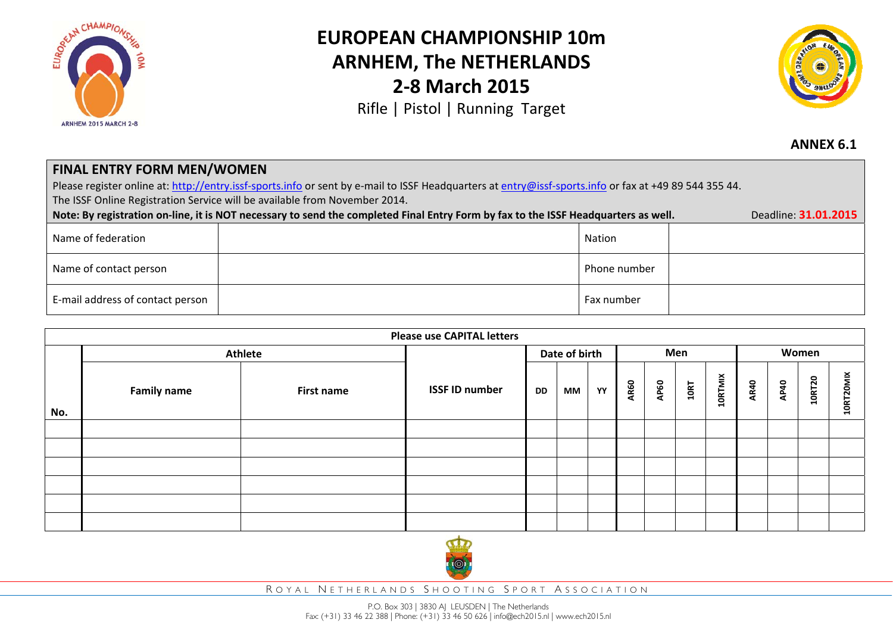

## **EUROPEAN CHAMPIONSHIP 10mARNHEM, The NETHERLANDS 2‐8 March 2015**

Rifle | Pistol | Running Target



**ANNEX 6.1**

## **FINAL ENTRY FORM MEN/WOMEN** Please register online at: http://entry.issf-sports.info or sent by e-mail to ISSF Headquarters at entry@issf-sports.info or fax at +49 89 544 355 44. The ISSF Online Registration Service will be available from November 2014. Note: By registration on-line, it is NOT necessary to send the completed Final Entry Form by fax to the ISSF Headquarters as well. Deadline: 31.01.2015 Name of federation Nation Name of contact person Phone number E-mail address of contact person Fax number  $\vdash$  Fax number  $\vdash$  Fax number  $\vdash$

| <b>Please use CAPITAL letters</b> |                    |            |                       |           |    |     |             |             |      |                |             |             |               |           |
|-----------------------------------|--------------------|------------|-----------------------|-----------|----|-----|-------------|-------------|------|----------------|-------------|-------------|---------------|-----------|
|                                   | Athlete            |            | Date of birth         |           |    | Men |             |             |      | Women          |             |             |               |           |
| No.                               | <b>Family name</b> | First name | <b>ISSF ID number</b> | <b>DD</b> | МM | YY  | <b>AR60</b> | <b>AP60</b> | 10RT | <b>10RTMIX</b> | <b>AR40</b> | <b>AP40</b> | <b>10RT20</b> | 10RT20MIX |
|                                   |                    |            |                       |           |    |     |             |             |      |                |             |             |               |           |
|                                   |                    |            |                       |           |    |     |             |             |      |                |             |             |               |           |
|                                   |                    |            |                       |           |    |     |             |             |      |                |             |             |               |           |
|                                   |                    |            |                       |           |    |     |             |             |      |                |             |             |               |           |
|                                   |                    |            |                       |           |    |     |             |             |      |                |             |             |               |           |
|                                   |                    |            |                       |           |    |     |             |             |      |                |             |             |               |           |
|                                   |                    |            |                       |           |    |     |             |             |      |                |             |             |               |           |



R OYAL N ETHERLANDS S HOOTING S PORT A SSOCIATION